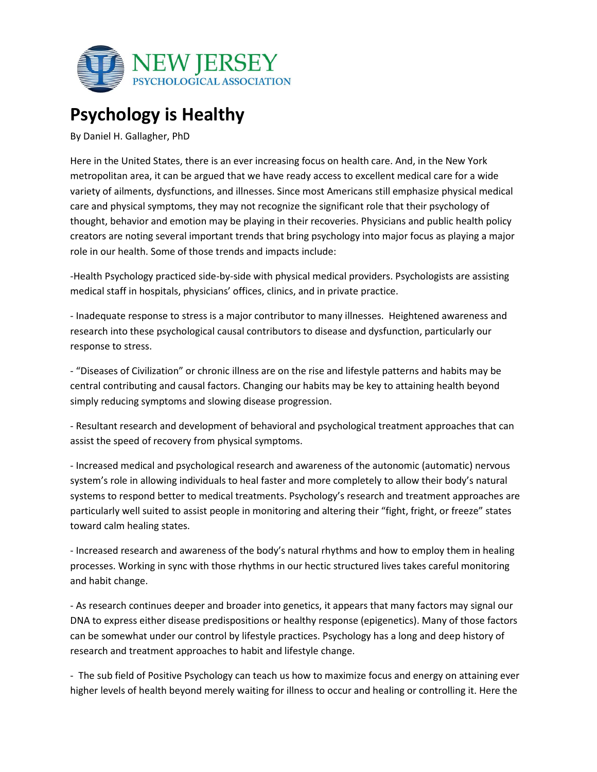

## **Psychology is Healthy**

By Daniel H. Gallagher, PhD

Here in the United States, there is an ever increasing focus on health care. And, in the New York metropolitan area, it can be argued that we have ready access to excellent medical care for a wide variety of ailments, dysfunctions, and illnesses. Since most Americans still emphasize physical medical care and physical symptoms, they may not recognize the significant role that their psychology of thought, behavior and emotion may be playing in their recoveries. Physicians and public health policy creators are noting several important trends that bring psychology into major focus as playing a major role in our health. Some of those trends and impacts include:

-Health Psychology practiced side-by-side with physical medical providers. Psychologists are assisting medical staff in hospitals, physicians' offices, clinics, and in private practice.

- Inadequate response to stress is a major contributor to many illnesses. Heightened awareness and research into these psychological causal contributors to disease and dysfunction, particularly our response to stress.

- "Diseases of Civilization" or chronic illness are on the rise and lifestyle patterns and habits may be central contributing and causal factors. Changing our habits may be key to attaining health beyond simply reducing symptoms and slowing disease progression.

- Resultant research and development of behavioral and psychological treatment approaches that can assist the speed of recovery from physical symptoms.

- Increased medical and psychological research and awareness of the autonomic (automatic) nervous system's role in allowing individuals to heal faster and more completely to allow their body's natural systems to respond better to medical treatments. Psychology's research and treatment approaches are particularly well suited to assist people in monitoring and altering their "fight, fright, or freeze" states toward calm healing states.

- Increased research and awareness of the body's natural rhythms and how to employ them in healing processes. Working in sync with those rhythms in our hectic structured lives takes careful monitoring and habit change.

- As research continues deeper and broader into genetics, it appears that many factors may signal our DNA to express either disease predispositions or healthy response (epigenetics). Many of those factors can be somewhat under our control by lifestyle practices. Psychology has a long and deep history of research and treatment approaches to habit and lifestyle change.

- The sub field of Positive Psychology can teach us how to maximize focus and energy on attaining ever higher levels of health beyond merely waiting for illness to occur and healing or controlling it. Here the